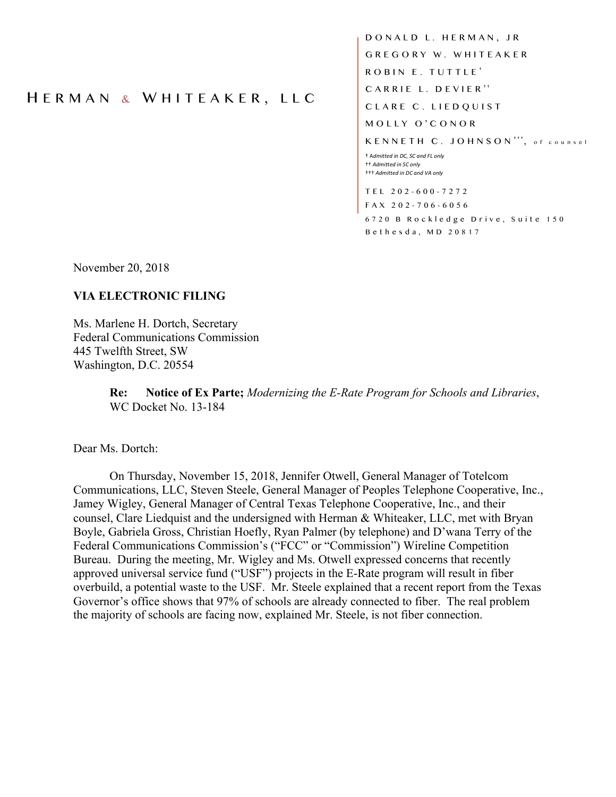## H ERMAN & W HITEAKER, LLC

DONALD L. HERMAN, JR GREGORY W. WHITEAKER ROBIN E. TUTTLE † CARRIE L. DEVIER<sup>++</sup> CLARE C. LIEDQUIST MOLLY O'CONOR KENNETH C. JOHNSON<sup>+++</sup>, of counsel † A*dmitted in DC, SC and FL only* †† *Admitted in SC only* ††† *Admitted in DC and VA only* TEL 202 - 600 - 7272 FAX 202 - 706 - 6056 6720 B Rockledge Drive, Suite 150

Bethesda, MD 20817

November 20, 2018

## **VIA ELECTRONIC FILING**

Ms. Marlene H. Dortch, Secretary Federal Communications Commission 445 Twelfth Street, SW Washington, D.C. 20554

> **Re: Notice of Ex Parte;** *Modernizing the E-Rate Program for Schools and Libraries*, WC Docket No. 13-184

Dear Ms. Dortch:

On Thursday, November 15, 2018, Jennifer Otwell, General Manager of Totelcom Communications, LLC, Steven Steele, General Manager of Peoples Telephone Cooperative, Inc., Jamey Wigley, General Manager of Central Texas Telephone Cooperative, Inc., and their counsel, Clare Liedquist and the undersigned with Herman & Whiteaker, LLC, met with Bryan Boyle, Gabriela Gross, Christian Hoefly, Ryan Palmer (by telephone) and D'wana Terry of the Federal Communications Commission's ("FCC" or "Commission") Wireline Competition Bureau. During the meeting, Mr. Wigley and Ms. Otwell expressed concerns that recently approved universal service fund ("USF") projects in the E-Rate program will result in fiber overbuild, a potential waste to the USF. Mr. Steele explained that a recent report from the Texas Governor's office shows that 97% of schools are already connected to fiber. The real problem the majority of schools are facing now, explained Mr. Steele, is not fiber connection.